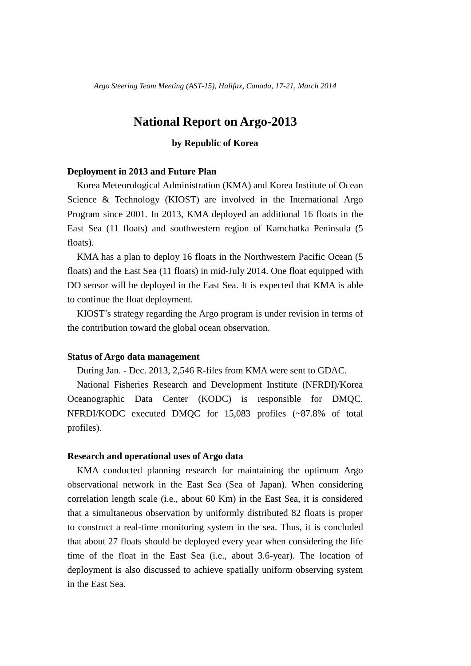*Argo Steering Team Meeting (AST-15), Halifax, Canada, 17-21, March 2014*

# **National Report on Argo-2013**

## **by Republic of Korea**

#### **Deployment in 2013 and Future Plan**

Korea Meteorological Administration (KMA) and Korea Institute of Ocean Science & Technology (KIOST) are involved in the International Argo Program since 2001. In 2013, KMA deployed an additional 16 floats in the East Sea (11 floats) and southwestern region of Kamchatka Peninsula (5 floats).

KMA has a plan to deploy 16 floats in the Northwestern Pacific Ocean (5) floats) and the East Sea (11 floats) in mid-July 2014. One float equipped with DO sensor will be deployed in the East Sea. It is expected that KMA is able to continue the float deployment.

KIOST's strategy regarding the Argo program is under revision in terms of the contribution toward the global ocean observation.

#### **Status of Argo data management**

During Jan. - Dec. 2013, 2,546 R-files from KMA were sent to GDAC.

National Fisheries Research and Development Institute (NFRDI)/Korea Oceanographic Data Center (KODC) is responsible for DMQC. NFRDI/KODC executed DMQC for 15,083 profiles (~87.8% of total profiles).

### **Research and operational uses of Argo data**

KMA conducted planning research for maintaining the optimum Argo observational network in the East Sea (Sea of Japan). When considering correlation length scale (i.e., about 60 Km) in the East Sea, it is considered that a simultaneous observation by uniformly distributed 82 floats is proper to construct a real-time monitoring system in the sea. Thus, it is concluded that about 27 floats should be deployed every year when considering the life time of the float in the East Sea (i.e., about 3.6-year). The location of deployment is also discussed to achieve spatially uniform observing system in the East Sea.